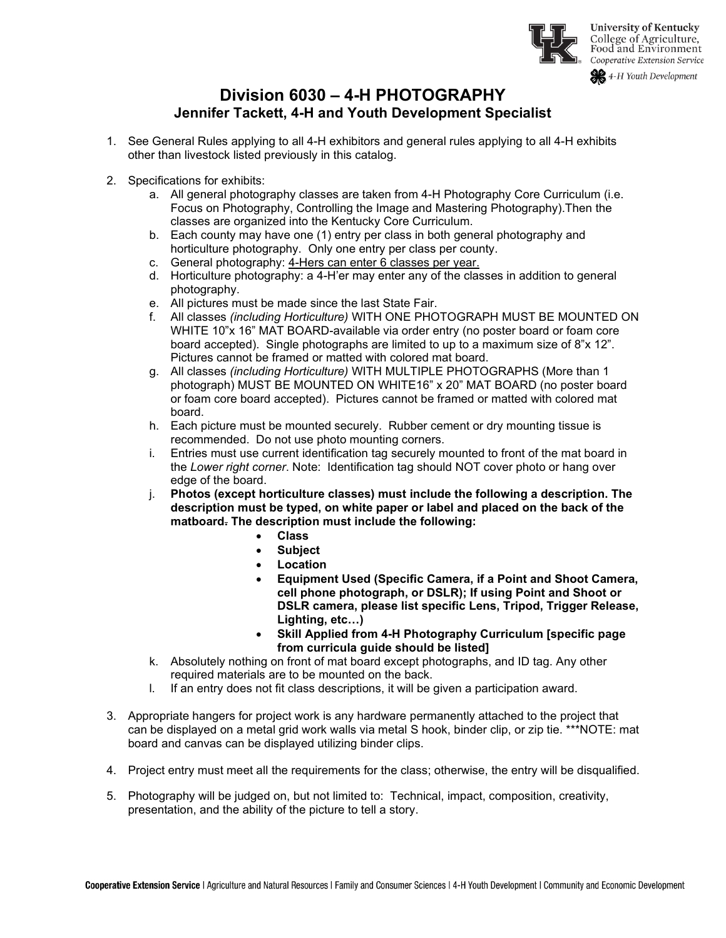

4-H Youth Development

# **Division 6030 – 4-H PHOTOGRAPHY Jennifer Tackett, 4-H and Youth Development Specialist**

- 1. See General Rules applying to all 4-H exhibitors and general rules applying to all 4-H exhibits other than livestock listed previously in this catalog.
- 2. Specifications for exhibits:
	- a. All general photography classes are taken from 4-H Photography Core Curriculum (i.e. Focus on Photography, Controlling the Image and Mastering Photography).Then the classes are organized into the Kentucky Core Curriculum.
	- b. Each county may have one (1) entry per class in both general photography and horticulture photography. Only one entry per class per county.
	- c. General photography: 4-Hers can enter 6 classes per year.
	- d. Horticulture photography: a 4-H'er may enter any of the classes in addition to general photography.
	- e. All pictures must be made since the last State Fair.
	- f. All classes *(including Horticulture)* WITH ONE PHOTOGRAPH MUST BE MOUNTED ON WHITE 10"x 16" MAT BOARD-available via order entry (no poster board or foam core board accepted). Single photographs are limited to up to a maximum size of 8"x 12". Pictures cannot be framed or matted with colored mat board.
	- g. All classes *(including Horticulture)* WITH MULTIPLE PHOTOGRAPHS (More than 1 photograph) MUST BE MOUNTED ON WHITE16" x 20" MAT BOARD (no poster board or foam core board accepted). Pictures cannot be framed or matted with colored mat board.
	- h. Each picture must be mounted securely. Rubber cement or dry mounting tissue is recommended. Do not use photo mounting corners.
	- i. Entries must use current identification tag securely mounted to front of the mat board in the *Lower right corner*. Note: Identification tag should NOT cover photo or hang over edge of the board.
	- j. **Photos (except horticulture classes) must include the following a description. The description must be typed, on white paper or label and placed on the back of the matboard. The description must include the following:**
		- **Class**
		- **Subject**
		- **Location**
		- **Equipment Used (Specific Camera, if a Point and Shoot Camera, cell phone photograph, or DSLR); If using Point and Shoot or DSLR camera, please list specific Lens, Tripod, Trigger Release, Lighting, etc…)**
		- **Skill Applied from 4-H Photography Curriculum [specific page from curricula guide should be listed]**
	- k. Absolutely nothing on front of mat board except photographs, and ID tag. Any other required materials are to be mounted on the back.
	- l. If an entry does not fit class descriptions, it will be given a participation award.
- 3. Appropriate hangers for project work is any hardware permanently attached to the project that can be displayed on a metal grid work walls via metal S hook, binder clip, or zip tie. \*\*\*NOTE: mat board and canvas can be displayed utilizing binder clips.
- 4. Project entry must meet all the requirements for the class; otherwise, the entry will be disqualified.
- 5. Photography will be judged on, but not limited to: Technical, impact, composition, creativity, presentation, and the ability of the picture to tell a story.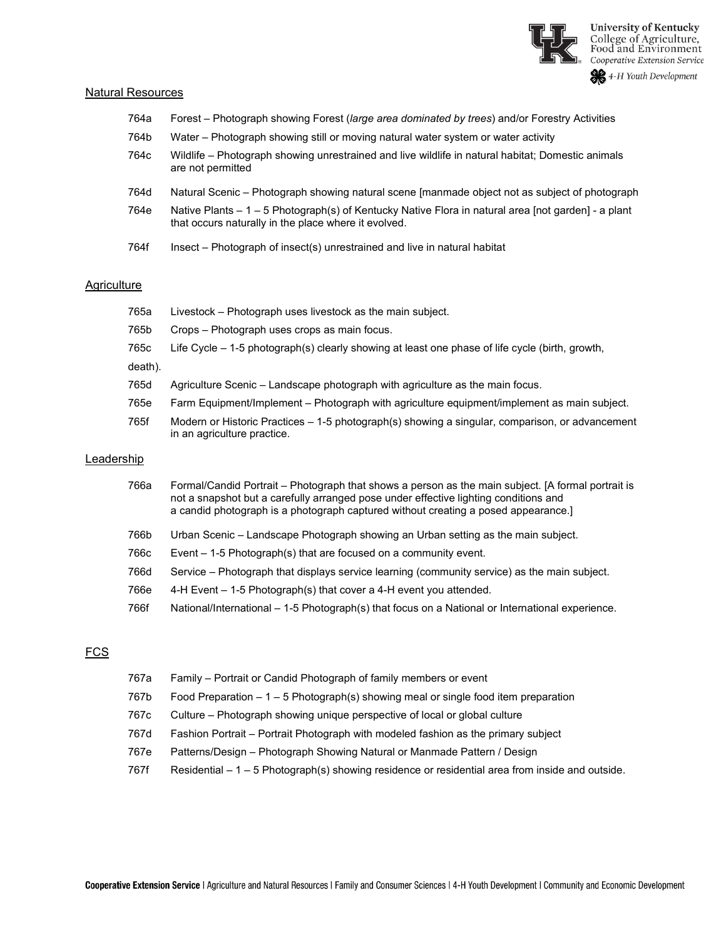

#### Natural Resources

| 764a | Forest – Photograph showing Forest (large area dominated by trees) and/or Forestry Activities                                                                |
|------|--------------------------------------------------------------------------------------------------------------------------------------------------------------|
| 764b | Water - Photograph showing still or moving natural water system or water activity                                                                            |
| 764c | Wildlife – Photograph showing unrestrained and live wildlife in natural habitat; Domestic animals<br>are not permitted                                       |
| 764d | Natural Scenic – Photograph showing natural scene [manmade object not as subject of photograph                                                               |
| 764e | Native Plants $-1$ – 5 Photograph(s) of Kentucky Native Flora in natural area [not garden] - a plant<br>that occurs naturally in the place where it evolved. |
| 764f | Insect – Photograph of insect(s) unrestrained and live in natural habitat                                                                                    |

#### **Agriculture**

|            | 765a    | Livestock – Photograph uses livestock as the main subject.                                                                                                                                                                                                                       |
|------------|---------|----------------------------------------------------------------------------------------------------------------------------------------------------------------------------------------------------------------------------------------------------------------------------------|
|            | 765b    | Crops - Photograph uses crops as main focus.                                                                                                                                                                                                                                     |
|            | 765c    | Life Cycle $-$ 1-5 photograph(s) clearly showing at least one phase of life cycle (birth, growth,                                                                                                                                                                                |
|            | death). |                                                                                                                                                                                                                                                                                  |
|            | 765d    | Agriculture Scenic – Landscape photograph with agriculture as the main focus.                                                                                                                                                                                                    |
|            | 765e    | Farm Equipment/Implement – Photograph with agriculture equipment/implement as main subject.                                                                                                                                                                                      |
|            | 765f    | Modern or Historic Practices – 1-5 photograph(s) showing a singular, comparison, or advancement<br>in an agriculture practice.                                                                                                                                                   |
| Leadership |         |                                                                                                                                                                                                                                                                                  |
|            | 766a    | Formal/Candid Portrait – Photograph that shows a person as the main subject. [A formal portrait is<br>not a snapshot but a carefully arranged pose under effective lighting conditions and<br>a candid photograph is a photograph captured without creating a posed appearance.] |
|            | 766b    | Urban Scenic – Landscape Photograph showing an Urban setting as the main subject.                                                                                                                                                                                                |

- 766c Event 1-5 Photograph(s) that are focused on a community event.
- 766d Service Photograph that displays service learning (community service) as the main subject.
- 766e 4-H Event 1-5 Photograph(s) that cover a 4-H event you attended.
- 766f National/International 1-5 Photograph(s) that focus on a National or International experience.

# FCS

| 767a | Family – Portrait or Candid Photograph of family members or event                                |
|------|--------------------------------------------------------------------------------------------------|
| 767b | Food Preparation $-1 - 5$ Photograph(s) showing meal or single food item preparation             |
| 767c | Culture – Photograph showing unique perspective of local or global culture                       |
| 767d | Fashion Portrait - Portrait Photograph with modeled fashion as the primary subject               |
| 767e | Patterns/Design – Photograph Showing Natural or Manmade Pattern / Design                         |
| 767f | Residential – 1 – 5 Photograph(s) showing residence or residential area from inside and outside. |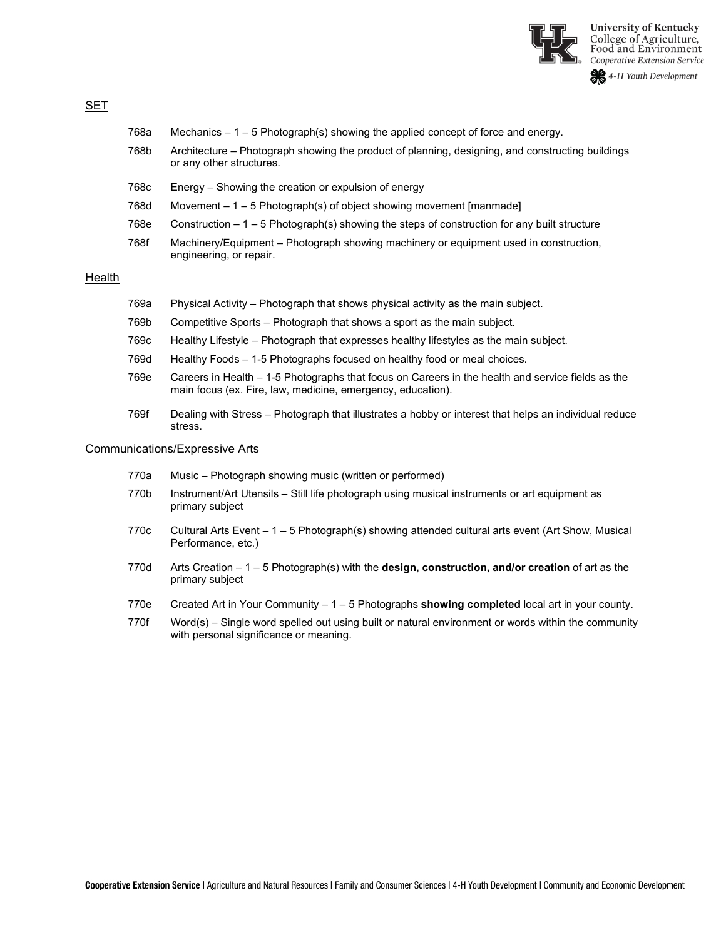

#### SET

- 768b Architecture Photograph showing the product of planning, designing, and constructing buildings or any other structures.
- 768c Energy Showing the creation or expulsion of energy
- 768d Movement 1 5 Photograph(s) of object showing movement [manmade]
- 768e Construction 1 5 Photograph(s) showing the steps of construction for any built structure
- 768f Machinery/Equipment Photograph showing machinery or equipment used in construction, engineering, or repair.

#### Health

- 769a Physical Activity Photograph that shows physical activity as the main subject.
- 769b Competitive Sports Photograph that shows a sport as the main subject.
- 769c Healthy Lifestyle Photograph that expresses healthy lifestyles as the main subject.
- 769d Healthy Foods 1-5 Photographs focused on healthy food or meal choices.
- 769e Careers in Health 1-5 Photographs that focus on Careers in the health and service fields as the main focus (ex. Fire, law, medicine, emergency, education).
- 769f Dealing with Stress Photograph that illustrates a hobby or interest that helps an individual reduce stress.

#### Communications/Expressive Arts

- 770a Music Photograph showing music (written or performed)
- 770b Instrument/Art Utensils Still life photograph using musical instruments or art equipment as primary subject
- 770c Cultural Arts Event 1 5 Photograph(s) showing attended cultural arts event (Art Show, Musical Performance, etc.)
- 770d Arts Creation 1 5 Photograph(s) with the **design, construction, and/or creation** of art as the primary subject
- 770e Created Art in Your Community 1 5 Photographs **showing completed** local art in your county.
- 770f Word(s) Single word spelled out using built or natural environment or words within the community with personal significance or meaning.